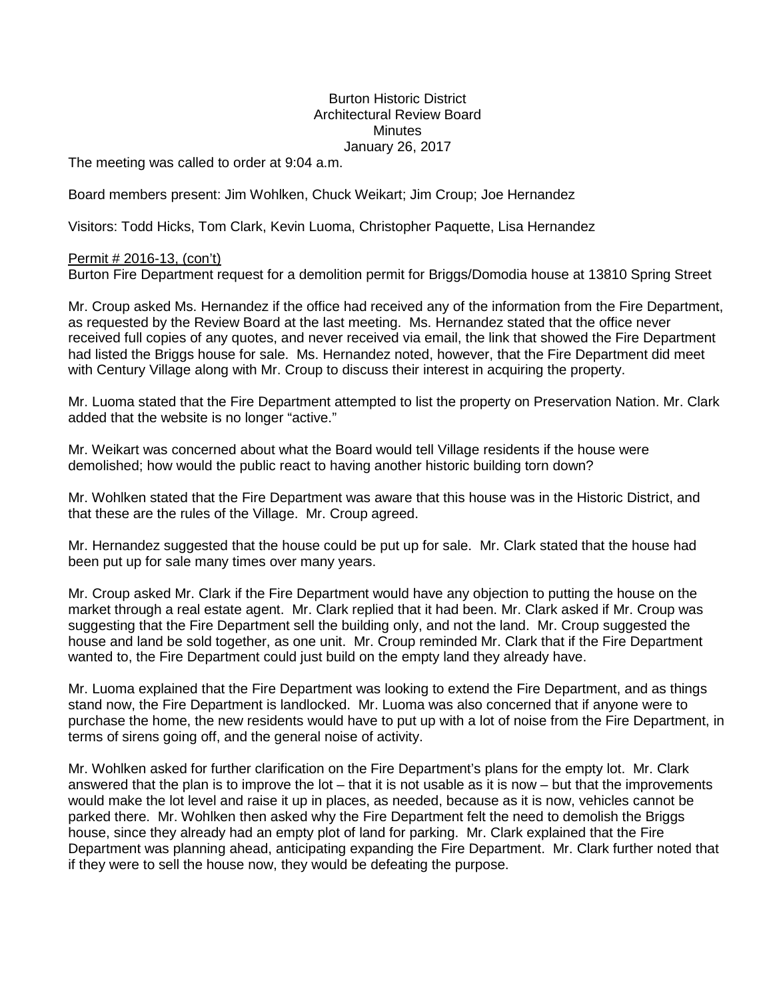## Burton Historic District Architectural Review Board **Minutes** January 26, 2017

The meeting was called to order at 9:04 a.m.

Board members present: Jim Wohlken, Chuck Weikart; Jim Croup; Joe Hernandez

Visitors: Todd Hicks, Tom Clark, Kevin Luoma, Christopher Paquette, Lisa Hernandez

## Permit # 2016-13, (con't)

Burton Fire Department request for a demolition permit for Briggs/Domodia house at 13810 Spring Street

Mr. Croup asked Ms. Hernandez if the office had received any of the information from the Fire Department, as requested by the Review Board at the last meeting. Ms. Hernandez stated that the office never received full copies of any quotes, and never received via email, the link that showed the Fire Department had listed the Briggs house for sale. Ms. Hernandez noted, however, that the Fire Department did meet with Century Village along with Mr. Croup to discuss their interest in acquiring the property.

Mr. Luoma stated that the Fire Department attempted to list the property on Preservation Nation. Mr. Clark added that the website is no longer "active."

Mr. Weikart was concerned about what the Board would tell Village residents if the house were demolished; how would the public react to having another historic building torn down?

Mr. Wohlken stated that the Fire Department was aware that this house was in the Historic District, and that these are the rules of the Village. Mr. Croup agreed.

Mr. Hernandez suggested that the house could be put up for sale. Mr. Clark stated that the house had been put up for sale many times over many years.

Mr. Croup asked Mr. Clark if the Fire Department would have any objection to putting the house on the market through a real estate agent. Mr. Clark replied that it had been. Mr. Clark asked if Mr. Croup was suggesting that the Fire Department sell the building only, and not the land. Mr. Croup suggested the house and land be sold together, as one unit. Mr. Croup reminded Mr. Clark that if the Fire Department wanted to, the Fire Department could just build on the empty land they already have.

Mr. Luoma explained that the Fire Department was looking to extend the Fire Department, and as things stand now, the Fire Department is landlocked. Mr. Luoma was also concerned that if anyone were to purchase the home, the new residents would have to put up with a lot of noise from the Fire Department, in terms of sirens going off, and the general noise of activity.

Mr. Wohlken asked for further clarification on the Fire Department's plans for the empty lot. Mr. Clark answered that the plan is to improve the lot  $-$  that it is not usable as it is now  $-$  but that the improvements would make the lot level and raise it up in places, as needed, because as it is now, vehicles cannot be parked there. Mr. Wohlken then asked why the Fire Department felt the need to demolish the Briggs house, since they already had an empty plot of land for parking. Mr. Clark explained that the Fire Department was planning ahead, anticipating expanding the Fire Department. Mr. Clark further noted that if they were to sell the house now, they would be defeating the purpose.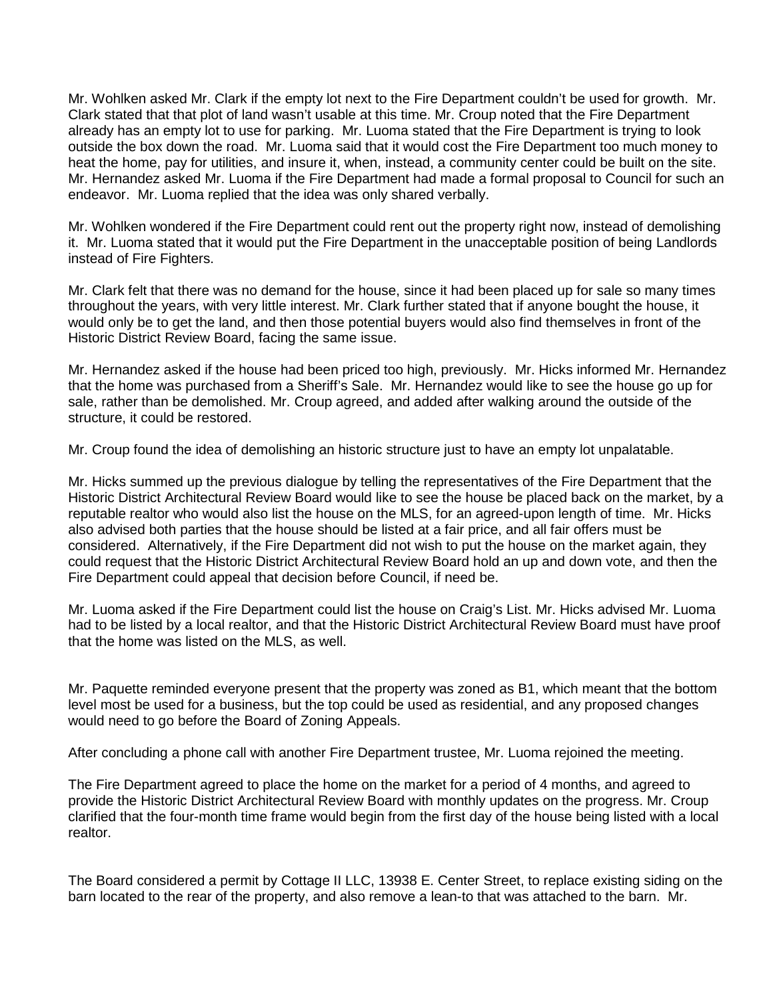Mr. Wohlken asked Mr. Clark if the empty lot next to the Fire Department couldn't be used for growth. Mr. Clark stated that that plot of land wasn't usable at this time. Mr. Croup noted that the Fire Department already has an empty lot to use for parking. Mr. Luoma stated that the Fire Department is trying to look outside the box down the road. Mr. Luoma said that it would cost the Fire Department too much money to heat the home, pay for utilities, and insure it, when, instead, a community center could be built on the site. Mr. Hernandez asked Mr. Luoma if the Fire Department had made a formal proposal to Council for such an endeavor. Mr. Luoma replied that the idea was only shared verbally.

Mr. Wohlken wondered if the Fire Department could rent out the property right now, instead of demolishing it. Mr. Luoma stated that it would put the Fire Department in the unacceptable position of being Landlords instead of Fire Fighters.

Mr. Clark felt that there was no demand for the house, since it had been placed up for sale so many times throughout the years, with very little interest. Mr. Clark further stated that if anyone bought the house, it would only be to get the land, and then those potential buyers would also find themselves in front of the Historic District Review Board, facing the same issue.

Mr. Hernandez asked if the house had been priced too high, previously. Mr. Hicks informed Mr. Hernandez that the home was purchased from a Sheriff's Sale. Mr. Hernandez would like to see the house go up for sale, rather than be demolished. Mr. Croup agreed, and added after walking around the outside of the structure, it could be restored.

Mr. Croup found the idea of demolishing an historic structure just to have an empty lot unpalatable.

Mr. Hicks summed up the previous dialogue by telling the representatives of the Fire Department that the Historic District Architectural Review Board would like to see the house be placed back on the market, by a reputable realtor who would also list the house on the MLS, for an agreed-upon length of time. Mr. Hicks also advised both parties that the house should be listed at a fair price, and all fair offers must be considered. Alternatively, if the Fire Department did not wish to put the house on the market again, they could request that the Historic District Architectural Review Board hold an up and down vote, and then the Fire Department could appeal that decision before Council, if need be.

Mr. Luoma asked if the Fire Department could list the house on Craig's List. Mr. Hicks advised Mr. Luoma had to be listed by a local realtor, and that the Historic District Architectural Review Board must have proof that the home was listed on the MLS, as well.

Mr. Paquette reminded everyone present that the property was zoned as B1, which meant that the bottom level most be used for a business, but the top could be used as residential, and any proposed changes would need to go before the Board of Zoning Appeals.

After concluding a phone call with another Fire Department trustee, Mr. Luoma rejoined the meeting.

The Fire Department agreed to place the home on the market for a period of 4 months, and agreed to provide the Historic District Architectural Review Board with monthly updates on the progress. Mr. Croup clarified that the four-month time frame would begin from the first day of the house being listed with a local realtor.

The Board considered a permit by Cottage II LLC, 13938 E. Center Street, to replace existing siding on the barn located to the rear of the property, and also remove a lean-to that was attached to the barn. Mr.